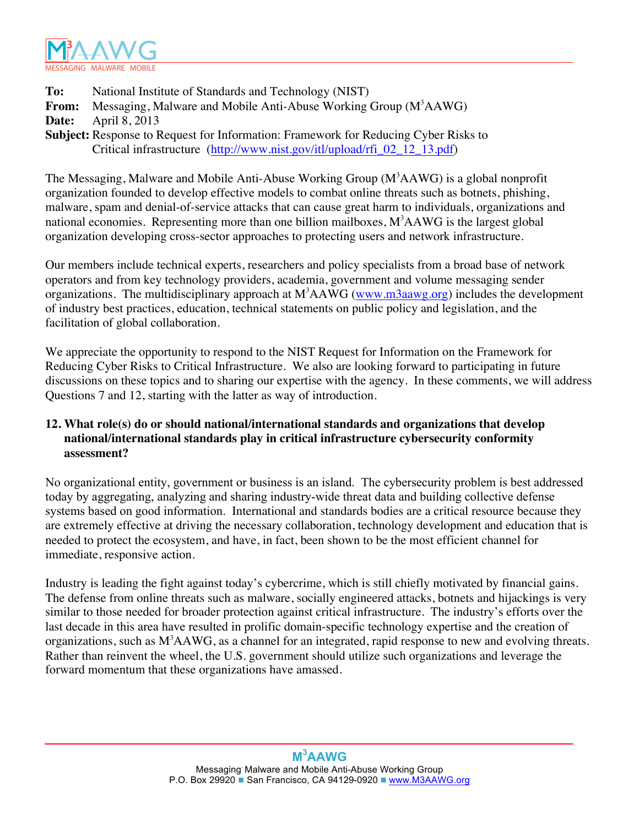

Critical infrastructure (http://www.nist.gov/itl/upload/rfi\_02\_12\_13.pdf) **To:** National Institute of Standards and Technology (NIST) From: Messaging, Malware and Mobile Anti-Abuse Working Group (M<sup>3</sup>AAWG) **Date:** April 8, 2013 **Subject:** Response to Request for Information: Framework for Reducing Cyber Risks to

 organization developing cross-sector approaches to protecting users and network infrastructure. The Messaging, Malware and Mobile Anti-Abuse Working Group (M<sup>3</sup>AAWG) is a global nonprofit organization founded to develop effective models to combat online threats such as botnets, phishing, malware, spam and denial-of-service attacks that can cause great harm to individuals, organizations and national economies. Representing more than one billion mailboxes,  $M^3AAWG$  is the largest global

Our members include technical experts, researchers and policy specialists from a broad base of network operators and from key technology providers, academia, government and volume messaging sender organizations. The multidisciplinary approach at M<sup>3</sup>AAWG (www.m3aawg.org) includes the development of industry best practices, education, technical statements on public policy and legislation, and the facilitation of global collaboration.

 discussions on these topics and to sharing our expertise with the agency. In these comments, we will address We appreciate the opportunity to respond to the NIST Request for Information on the Framework for Reducing Cyber Risks to Critical Infrastructure. We also are looking forward to participating in future Questions 7 and 12, starting with the latter as way of introduction.

## **12. What role(s) do or should national/international standards and organizations that develop national/international standards play in critical infrastructure cybersecurity conformity assessment?**

 today by aggregating, analyzing and sharing industry-wide threat data and building collective defense systems based on good information. International and standards bodies are a critical resource because they needed to protect the ecosystem, and have, in fact, been shown to be the most efficient channel for No organizational entity, government or business is an island. The cybersecurity problem is best addressed are extremely effective at driving the necessary collaboration, technology development and education that is immediate, responsive action.

 Industry is leading the fight against today's cybercrime, which is still chiefly motivated by financial gains. The defense from online threats such as malware, socially engineered attacks, botnets and hijackings is very similar to those needed for broader protection against critical infrastructure. The industry's efforts over the last decade in this area have resulted in prolific domain-specific technology expertise and the creation of organizations, such as  $M<sup>3</sup>AAWG$ , as a channel for an integrated, rapid response to new and evolving threats. Rather than reinvent the wheel, the U.S. government should utilize such organizations and leverage the forward momentum that these organizations have amassed.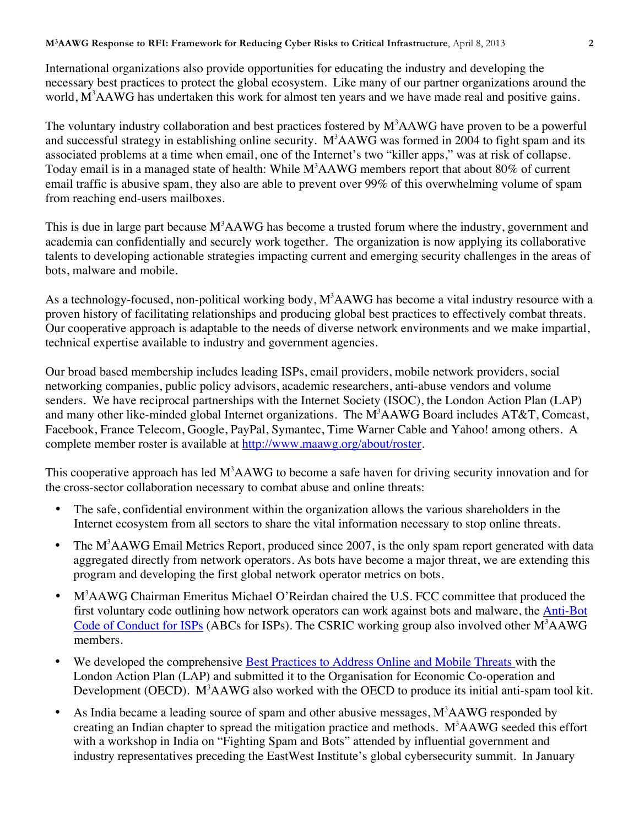necessary best practices to protect the global ecosystem. Like many of our partner organizations around the International organizations also provide opportunities for educating the industry and developing the world, M<sup>3</sup>AAWG has undertaken this work for almost ten years and we have made real and positive gains.

The voluntary industry collaboration and best practices fostered by  $M<sup>3</sup>AAWG$  have proven to be a powerful Today email is in a managed state of health: While  $M^3AAWG$  members report that about 80% of current email traffic is abusive spam, they also are able to prevent over 99% of this overwhelming volume of spam from reaching end-users mailboxes. and successful strategy in establishing online security.  $M^3AAWG$  was formed in 2004 to fight spam and its associated problems at a time when email, one of the Internet's two "killer apps," was at risk of collapse.

from reaching end-users mailboxes.<br>This is due in large part because M<sup>3</sup>AAWG has become a trusted forum where the industry, government and talents to developing actionable strategies impacting current and emerging security challenges in the areas of academia can confidentially and securely work together. The organization is now applying its collaborative bots, malware and mobile.

As a technology-focused, non-political working body,  $M<sup>3</sup> A A W G$  has become a vital industry resource with a proven history of facilitating relationships and producing global best practices to effectively combat threats. Our cooperative approach is adaptable to the needs of diverse network environments and we make impartial, technical expertise available to industry and government agencies.

 Our broad based membership includes leading ISPs, email providers, mobile network providers, social senders. We have reciprocal partnerships with the Internet Society (ISOC), the London Action Plan (LAP) complete member roster is available at http://www.maawg.org/about/roster. networking companies, public policy advisors, academic researchers, anti-abuse vendors and volume and many other like-minded global Internet organizations. The M<sup>3</sup>AAWG Board includes AT&T, Comcast, Facebook, France Telecom, Google, PayPal, Symantec, Time Warner Cable and Yahoo! among others. A

This cooperative approach has led  $M<sup>3</sup>AAWG$  to become a safe haven for driving security innovation and for the cross-sector collaboration necessary to combat abuse and online threats:

- The safe, confidential environment within the organization allows the various shareholders in the Internet ecosystem from all sectors to share the vital information necessary to stop online threats.
- The M<sup>3</sup>AAWG Email Metrics Report, produced since 2007, is the only spam report generated with data aggregated directly from network operators. As bots have become a major threat, we are extending this program and developing the first global network operator metrics on bots.
- M<sup>3</sup>AAWG Chairman Emeritus Michael O'Reirdan chaired the U.S. FCC committee that produced the first voluntary code outlining how network operators can work against bots and malware, the Anti-Bot Code of Conduct for ISPs (ABCs for ISPs). The CSRIC working group also involved other M<sup>3</sup>AAWG members.
- We developed the comprehensive Best Practices to Address Online and Mobile Threats with the London Action Plan (LAP) and submitted it to the Organisation for Economic Co-operation and Development (OECD). M<sup>3</sup>AAWG also worked with the OECD to produce its initial anti-spam tool kit.
- creating an Indian chapter to spread the mitigation practice and methods.  $M<sup>3</sup>AAWG$  seeded this effort industry representatives preceding the EastWest Institute's global cybersecurity summit. In January • As India became a leading source of spam and other abusive messages,  $M<sup>3</sup>AAWG$  responded by with a workshop in India on "Fighting Spam and Bots" attended by influential government and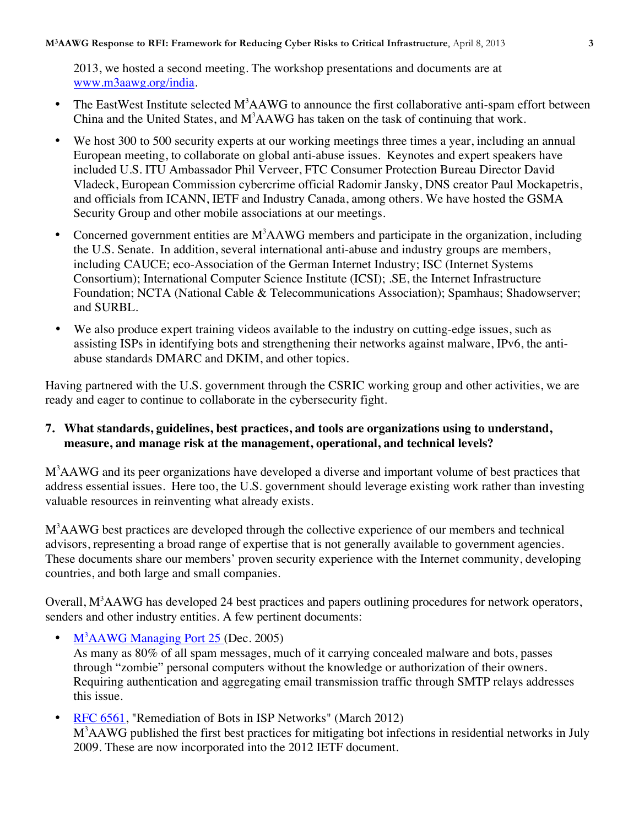2013, we hosted a second meeting. The workshop presentations and documents are at www.m3aawg.org/india.

- The EastWest Institute selected  $M^3AAWG$  to announce the first collaborative anti-spam effort between China and the United States, and  $M<sup>3</sup>AAWG$  has taken on the task of continuing that work.
- We host 300 to 500 security experts at our working meetings three times a year, including an annual European meeting, to collaborate on global anti-abuse issues. Keynotes and expert speakers have included U.S. ITU Ambassador Phil Verveer, FTC Consumer Protection Bureau Director David Vladeck, European Commission cybercrime official Radomir Jansky, DNS creator Paul Mockapetris, and officials from ICANN, IETF and Industry Canada, among others. We have hosted the GSMA Security Group and other mobile associations at our meetings.
- Concerned government entities are  $M<sup>3</sup>AAWG$  members and participate in the organization, including the U.S. Senate. In addition, several international anti-abuse and industry groups are members, including CAUCE; eco-Association of the German Internet Industry; ISC (Internet Systems Consortium); International Computer Science Institute (ICSI); .SE, the Internet Infrastructure Foundation; NCTA (National Cable & Telecommunications Association); Spamhaus; Shadowserver; and SURBL.
- We also produce expert training videos available to the industry on cutting-edge issues, such as assisting ISPs in identifying bots and strengthening their networks against malware, IPv6, the antiabuse standards DMARC and DKIM, and other topics.

Having partnered with the U.S. government through the CSRIC working group and other activities, we are ready and eager to continue to collaborate in the cybersecurity fight.

## **7. What standards, guidelines, best practices, and tools are organizations using to understand, measure, and manage risk at the management, operational, and technical levels?**

M<sup>3</sup>AAWG and its peer organizations have developed a diverse and important volume of best practices that address essential issues. Here too, the U.S. government should leverage existing work rather than investing valuable resources in reinventing what already exists.

M<sup>3</sup>AAWG best practices are developed through the collective experience of our members and technical These documents share our members' proven security experience with the Internet community, developing countries, and both large and small companies. advisors, representing a broad range of expertise that is not generally available to government agencies.

countries, and both large and small companies.<br>Overall, M<sup>3</sup>AAWG has developed 24 best practices and papers outlining procedures for network operators, senders and other industry entities. A few pertinent documents:

•  $M^3$ AAWG Managing Port 25 (Dec. 2005)

 As many as 80% of all spam messages, much of it carrying concealed malware and bots, passes Requiring authentication and aggregating email transmission traffic through SMTP relays addresses through "zombie" personal computers without the knowledge or authorization of their owners. this issue.

• RFC 6561, "Remediation of Bots in ISP Networks" (March 2012) M<sup>3</sup>AAWG published the first best practices for mitigating bot infections in residential networks in July 2009. These are now incorporated into the 2012 IETF document.